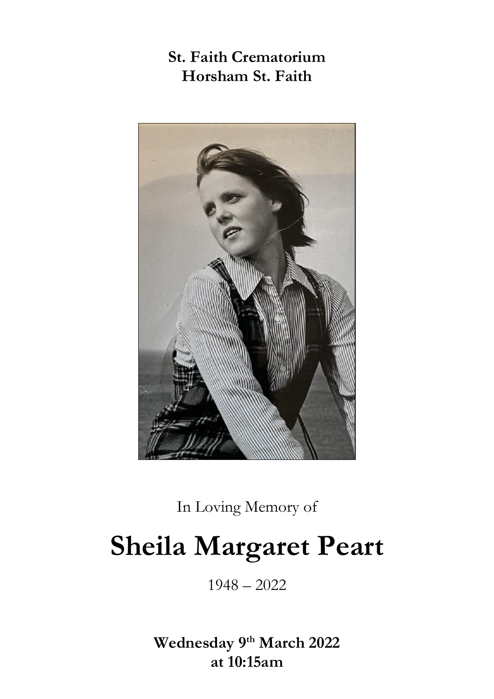# **St. Faith Crematorium Horsham St. Faith**



In Loving Memory of

# **Sheila Margaret Peart**

1948 – 2022

**Wednesday 9th March 2022 at 10:15am**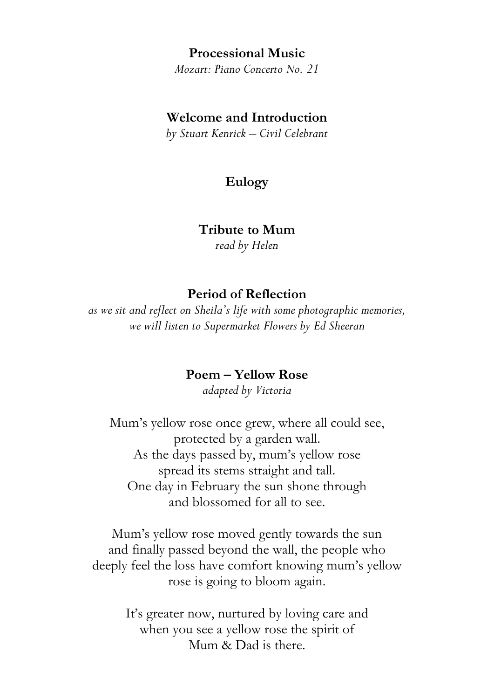#### **Processional Music**

*Mozart: Piano Concerto No. 21*

#### **Welcome and Introduction**

*by Stuart Kenrick – Civil Celebrant*

### **Eulogy**

#### **Tribute to Mum**

*read by Helen*

#### **Period of Reflection**

*as we sit and reflect on Sheila's life with some photographic memories, we will listen to Supermarket Flowers by Ed Sheeran*

#### **Poem – Yellow Rose**

*adapted by Victoria*

Mum's yellow rose once grew, where all could see, protected by a garden wall. As the days passed by, mum's yellow rose spread its stems straight and tall. One day in February the sun shone through and blossomed for all to see.

Mum's yellow rose moved gently towards the sun and finally passed beyond the wall, the people who deeply feel the loss have comfort knowing mum's yellow rose is going to bloom again.

> It's greater now, nurtured by loving care and when you see a yellow rose the spirit of Mum & Dad is there.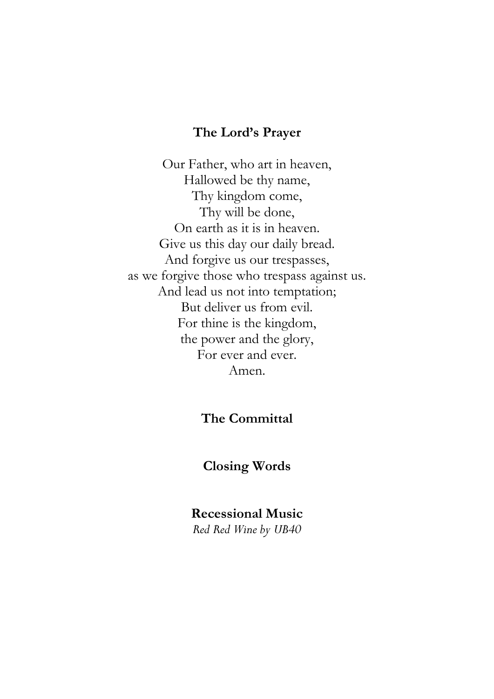#### **The Lord's Prayer**

Our Father, who art in heaven, Hallowed be thy name, Thy kingdom come, Thy will be done, On earth as it is in heaven. Give us this day our daily bread. And forgive us our trespasses, as we forgive those who trespass against us. And lead us not into temptation; But deliver us from evil. For thine is the kingdom, the power and the glory, For ever and ever. Amen.

## **The Committal**

#### **Closing Words**

#### **Recessional Music**

*Red Red Wine by UB40*